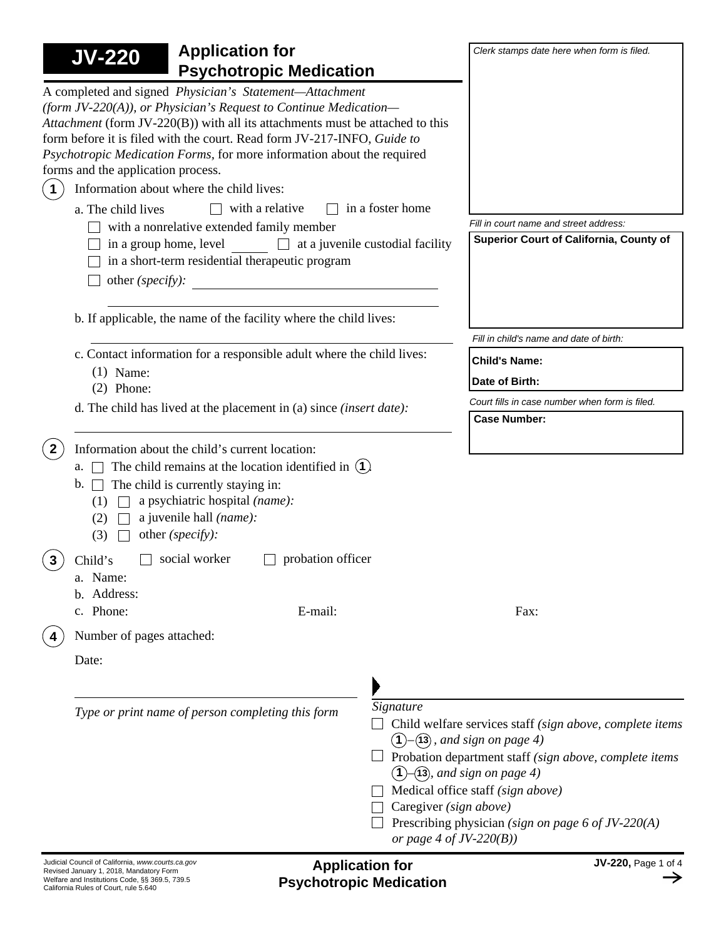| <b>Application for</b><br><b>JV-220</b><br><b>Psychotropic Medication</b>                                                                                                                                                                                                                                                                                                                               |                                                                                   | Clerk stamps date here when form is filed.                                                                                                                                                                                                                                             |
|---------------------------------------------------------------------------------------------------------------------------------------------------------------------------------------------------------------------------------------------------------------------------------------------------------------------------------------------------------------------------------------------------------|-----------------------------------------------------------------------------------|----------------------------------------------------------------------------------------------------------------------------------------------------------------------------------------------------------------------------------------------------------------------------------------|
| A completed and signed Physician's Statement-Attachment<br>(form JV-220(A)), or Physician's Request to Continue Medication-<br>Attachment (form JV-220(B)) with all its attachments must be attached to this<br>form before it is filed with the court. Read form JV-217-INFO, Guide to<br>Psychotropic Medication Forms, for more information about the required<br>forms and the application process. |                                                                                   |                                                                                                                                                                                                                                                                                        |
| Information about where the child lives:<br>$\mathbf 1$                                                                                                                                                                                                                                                                                                                                                 |                                                                                   |                                                                                                                                                                                                                                                                                        |
| with a relative<br>a. The child lives                                                                                                                                                                                                                                                                                                                                                                   | in a foster home                                                                  |                                                                                                                                                                                                                                                                                        |
| with a nonrelative extended family member<br>in a group home, level<br>$\Box$ at a juvenile custodial facility<br>in a short-term residential therapeutic program<br>other (specify):<br><u> 1980 - Jan Stein Bernstein, marking fan de Fryske k</u>                                                                                                                                                    | Fill in court name and street address:<br>Superior Court of California, County of |                                                                                                                                                                                                                                                                                        |
| b. If applicable, the name of the facility where the child lives:                                                                                                                                                                                                                                                                                                                                       |                                                                                   |                                                                                                                                                                                                                                                                                        |
|                                                                                                                                                                                                                                                                                                                                                                                                         |                                                                                   | Fill in child's name and date of birth:                                                                                                                                                                                                                                                |
| c. Contact information for a responsible adult where the child lives:                                                                                                                                                                                                                                                                                                                                   |                                                                                   | <b>Child's Name:</b>                                                                                                                                                                                                                                                                   |
| $(1)$ Name:<br>$(2)$ Phone:                                                                                                                                                                                                                                                                                                                                                                             |                                                                                   | Date of Birth:                                                                                                                                                                                                                                                                         |
| d. The child has lived at the placement in (a) since <i>(insert date)</i> :                                                                                                                                                                                                                                                                                                                             |                                                                                   | Court fills in case number when form is filed.                                                                                                                                                                                                                                         |
|                                                                                                                                                                                                                                                                                                                                                                                                         |                                                                                   | <b>Case Number:</b>                                                                                                                                                                                                                                                                    |
| Information about the child's current location:<br>The child remains at the location identified in $(1)$ .<br>a.<br>The child is currently staying in:<br>$\mathbf{b}$ . $\Box$<br>a psychiatric hospital (name):<br>(1)<br>a juvenile hall (name):<br>(2)<br>other (specify):<br>(3)                                                                                                                   |                                                                                   |                                                                                                                                                                                                                                                                                        |
| social worker<br>Child's<br>a. Name:<br>Address:<br>b.                                                                                                                                                                                                                                                                                                                                                  | probation officer                                                                 |                                                                                                                                                                                                                                                                                        |
| c. Phone:                                                                                                                                                                                                                                                                                                                                                                                               | E-mail:                                                                           | Fax:                                                                                                                                                                                                                                                                                   |
| Number of pages attached:                                                                                                                                                                                                                                                                                                                                                                               |                                                                                   |                                                                                                                                                                                                                                                                                        |
| Date:                                                                                                                                                                                                                                                                                                                                                                                                   |                                                                                   |                                                                                                                                                                                                                                                                                        |
| Type or print name of person completing this form                                                                                                                                                                                                                                                                                                                                                       | Signature<br>(1)<br>Caregiver (sign above)<br>or page 4 of $JV$ -220(B))          | Child welfare services staff (sign above, complete items<br>$-(13)$ , and sign on page 4)<br>Probation department staff (sign above, complete items<br>$(1)$ – $(13)$ , and sign on page 4)<br>Medical office staff (sign above)<br>Prescribing physician (sign on page 6 of JV-220(A) |
| Judicial Council of California, www.courts.ca.gov<br>Revised January 1, 2018, Mandatory Form                                                                                                                                                                                                                                                                                                            | <b>Application for</b>                                                            | <b>JV-220, Page 1 of 4</b>                                                                                                                                                                                                                                                             |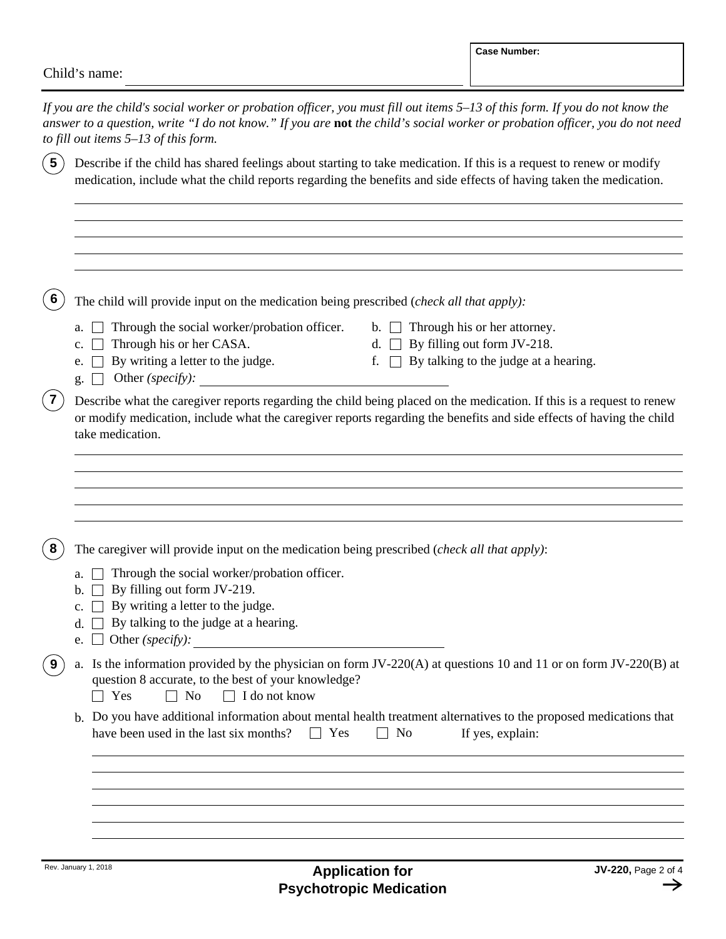|                         |                                                   |                                                                                                                                                                                                                                                                          |                                   | <b>Case Number:</b>                                                                                                                                                                                                                           |
|-------------------------|---------------------------------------------------|--------------------------------------------------------------------------------------------------------------------------------------------------------------------------------------------------------------------------------------------------------------------------|-----------------------------------|-----------------------------------------------------------------------------------------------------------------------------------------------------------------------------------------------------------------------------------------------|
|                         | Child's name:                                     |                                                                                                                                                                                                                                                                          |                                   |                                                                                                                                                                                                                                               |
|                         | to fill out items $5-13$ of this form.            | If you are the child's social worker or probation officer, you must fill out items 5–13 of this form. If you do not know the                                                                                                                                             |                                   | answer to a question, write "I do not know." If you are not the child's social worker or probation officer, you do not need                                                                                                                   |
| $\overline{\mathbf{5}}$ |                                                   | Describe if the child has shared feelings about starting to take medication. If this is a request to renew or modify<br>medication, include what the child reports regarding the benefits and side effects of having taken the medication.                               |                                   |                                                                                                                                                                                                                                               |
| 6                       |                                                   | The child will provide input on the medication being prescribed ( <i>check all that apply</i> ):                                                                                                                                                                         |                                   |                                                                                                                                                                                                                                               |
|                         | a.<br>c.<br>e.<br>g.                              | Through the social worker/probation officer.<br>Through his or her CASA.<br>By writing a letter to the judge.<br>Other (specify):                                                                                                                                        | $\mathbf{b}$ . $\mathbf{1}$<br>f. | Through his or her attorney.<br>By filling out form JV-218.<br>By talking to the judge at a hearing.                                                                                                                                          |
| $\overline{\mathbf{7}}$ | take medication.                                  |                                                                                                                                                                                                                                                                          |                                   | Describe what the caregiver reports regarding the child being placed on the medication. If this is a request to renew<br>or modify medication, include what the caregiver reports regarding the benefits and side effects of having the child |
| 8                       | b.<br>c.<br>$d_{\cdot}$<br>Other (specify):<br>e. | The caregiver will provide input on the medication being prescribed ( <i>check all that apply</i> ):<br>$\Box$ Through the social worker/probation officer.<br>By filling out form JV-219.<br>By writing a letter to the judge.<br>By talking to the judge at a hearing. |                                   |                                                                                                                                                                                                                                               |
| 9                       | Yes                                               | question 8 accurate, to the best of your knowledge?<br>$\Box$ I do not know<br>No                                                                                                                                                                                        |                                   | a. Is the information provided by the physician on form JV-220(A) at questions 10 and 11 or on form JV-220(B) at                                                                                                                              |
|                         |                                                   | have been used in the last six months?<br>Yes                                                                                                                                                                                                                            | N <sub>0</sub>                    | b. Do you have additional information about mental health treatment alternatives to the proposed medications that<br>If yes, explain:                                                                                                         |
|                         |                                                   |                                                                                                                                                                                                                                                                          |                                   |                                                                                                                                                                                                                                               |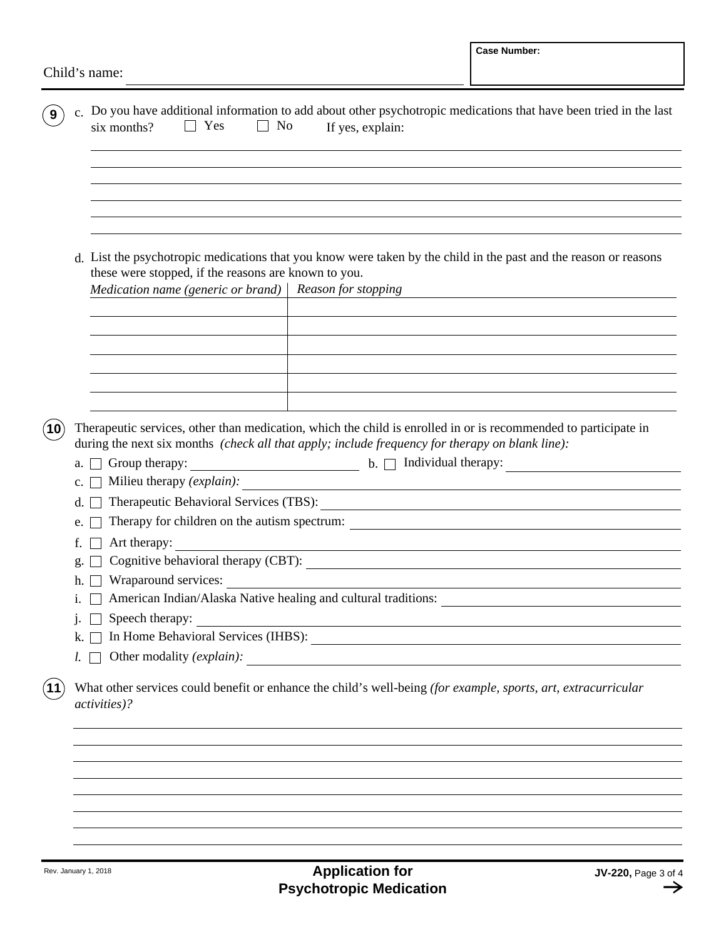| Child's name:<br>c. Do you have additional information to add about other psychotropic medications that have been tried in the last<br>9<br>Yes<br>No<br>six months?<br>If yes, explain:                                                                                                    |                                               |  |  |  |  |  |
|---------------------------------------------------------------------------------------------------------------------------------------------------------------------------------------------------------------------------------------------------------------------------------------------|-----------------------------------------------|--|--|--|--|--|
|                                                                                                                                                                                                                                                                                             |                                               |  |  |  |  |  |
|                                                                                                                                                                                                                                                                                             |                                               |  |  |  |  |  |
|                                                                                                                                                                                                                                                                                             |                                               |  |  |  |  |  |
| d. List the psychotropic medications that you know were taken by the child in the past and the reason or reasons<br>these were stopped, if the reasons are known to you.<br>Medication name (generic or brand) $ $<br>Reason for stopping                                                   |                                               |  |  |  |  |  |
|                                                                                                                                                                                                                                                                                             |                                               |  |  |  |  |  |
| The rapeutic services, other than medication, which the child is enrolled in or is recommended to participate in<br>during the next six months (check all that apply; include frequency for therapy on blank line):<br>$\blacksquare$ b. $\Box$ Individual therapy:<br>Group therapy:<br>a. |                                               |  |  |  |  |  |
| Therapeutic Behavioral Services (TBS):<br>d.                                                                                                                                                                                                                                                | Milieu therapy (explain):<br>$\mathbf{c}$ .   |  |  |  |  |  |
| Therapy for children on the autism spectrum:<br>e.                                                                                                                                                                                                                                          | <u> 1980 - Andrea Andrew Maria (h. 1980).</u> |  |  |  |  |  |
| Art therapy:<br>f.                                                                                                                                                                                                                                                                          |                                               |  |  |  |  |  |
| Cognitive behavioral therapy (CBT):<br>g.                                                                                                                                                                                                                                                   |                                               |  |  |  |  |  |
| Wraparound services:<br>h.                                                                                                                                                                                                                                                                  |                                               |  |  |  |  |  |
| 1.                                                                                                                                                                                                                                                                                          |                                               |  |  |  |  |  |
| Speech therapy:<br>j.<br><u> 1989 - Johann Stoff, Amerikaansk politiker († 1908)</u>                                                                                                                                                                                                        |                                               |  |  |  |  |  |
| k.                                                                                                                                                                                                                                                                                          |                                               |  |  |  |  |  |
| L I                                                                                                                                                                                                                                                                                         |                                               |  |  |  |  |  |
| What other services could benefit or enhance the child's well-being (for example, sports, art, extracurricular<br><i>activities</i> )?                                                                                                                                                      |                                               |  |  |  |  |  |
|                                                                                                                                                                                                                                                                                             |                                               |  |  |  |  |  |
|                                                                                                                                                                                                                                                                                             |                                               |  |  |  |  |  |
|                                                                                                                                                                                                                                                                                             |                                               |  |  |  |  |  |
|                                                                                                                                                                                                                                                                                             |                                               |  |  |  |  |  |
|                                                                                                                                                                                                                                                                                             |                                               |  |  |  |  |  |